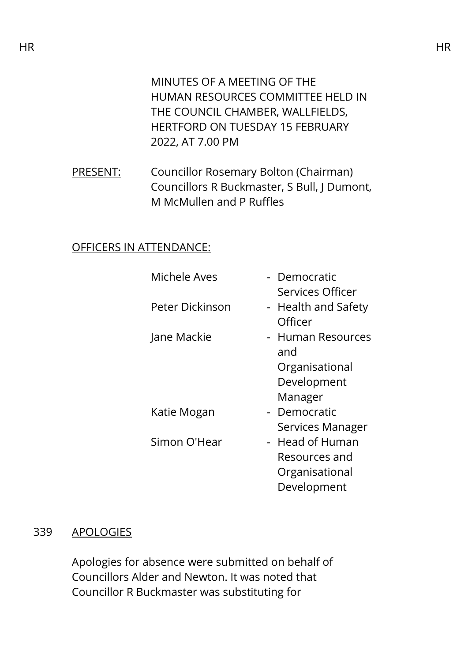MINUTES OF A MEETING OF THE HUMAN RESOURCES COMMITTEE HELD IN THE COUNCIL CHAMBER, WALLFIELDS, HERTFORD ON TUESDAY 15 FEBRUARY 2022, AT 7.00 PM

PRESENT: Councillor Rosemary Bolton (Chairman) Councillors R Buckmaster, S Bull, J Dumont, M McMullen and P Ruffles

# OFFICERS IN ATTENDANCE:

| Michele Aves    | - Democratic        |
|-----------------|---------------------|
|                 | Services Officer    |
| Peter Dickinson | - Health and Safety |
|                 | Officer             |
| Jane Mackie     | - Human Resources   |
|                 | and                 |
|                 | Organisational      |
|                 | Development         |
|                 | Manager             |
| Katie Mogan     | - Democratic        |
|                 | Services Manager    |
| Simon O'Hear    | - Head of Human     |
|                 | Resources and       |
|                 | Organisational      |
|                 | Development         |

### 339 APOLOGIES

Apologies for absence were submitted on behalf of Councillors Alder and Newton. It was noted that Councillor R Buckmaster was substituting for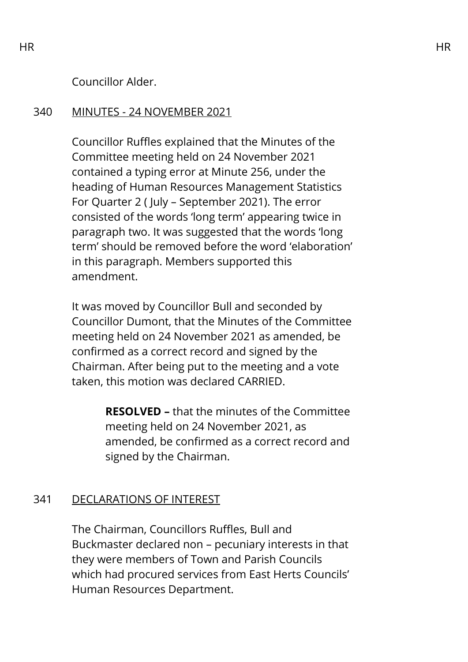Councillor Alder.

## 340 MINUTES - 24 NOVEMBER 2021

Councillor Ruffles explained that the Minutes of the Committee meeting held on 24 November 2021 contained a typing error at Minute 256, under the heading of Human Resources Management Statistics For Quarter 2 ( July – September 2021). The error consisted of the words 'long term' appearing twice in paragraph two. It was suggested that the words 'long term' should be removed before the word 'elaboration' in this paragraph. Members supported this amendment.

It was moved by Councillor Bull and seconded by Councillor Dumont, that the Minutes of the Committee meeting held on 24 November 2021 as amended, be confirmed as a correct record and signed by the Chairman. After being put to the meeting and a vote taken, this motion was declared CARRIED.

> **RESOLVED –** that the minutes of the Committee meeting held on 24 November 2021, as amended, be confirmed as a correct record and signed by the Chairman.

# 341 DECLARATIONS OF INTEREST

The Chairman, Councillors Ruffles, Bull and Buckmaster declared non – pecuniary interests in that they were members of Town and Parish Councils which had procured services from East Herts Councils' Human Resources Department.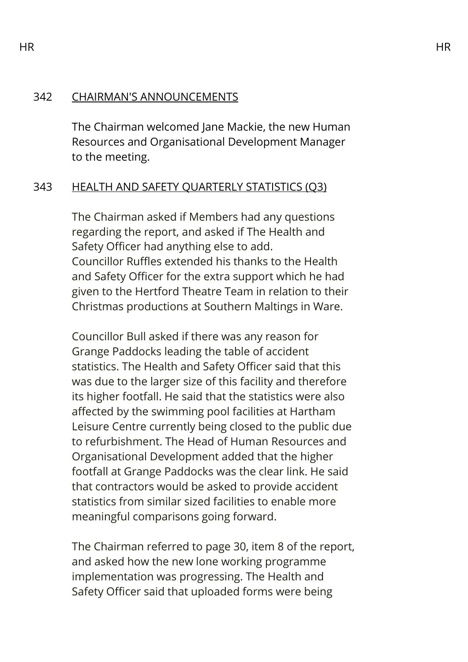## 342 CHAIRMAN'S ANNOUNCEMENTS

The Chairman welcomed Jane Mackie, the new Human Resources and Organisational Development Manager to the meeting.

# 343 HEALTH AND SAFETY QUARTERLY STATISTICS (Q3)

The Chairman asked if Members had any questions regarding the report, and asked if The Health and Safety Officer had anything else to add. Councillor Ruffles extended his thanks to the Health and Safety Officer for the extra support which he had given to the Hertford Theatre Team in relation to their Christmas productions at Southern Maltings in Ware.

Councillor Bull asked if there was any reason for Grange Paddocks leading the table of accident statistics. The Health and Safety Officer said that this was due to the larger size of this facility and therefore its higher footfall. He said that the statistics were also affected by the swimming pool facilities at Hartham Leisure Centre currently being closed to the public due to refurbishment. The Head of Human Resources and Organisational Development added that the higher footfall at Grange Paddocks was the clear link. He said that contractors would be asked to provide accident statistics from similar sized facilities to enable more meaningful comparisons going forward.

The Chairman referred to page 30, item 8 of the report, and asked how the new lone working programme implementation was progressing. The Health and Safety Officer said that uploaded forms were being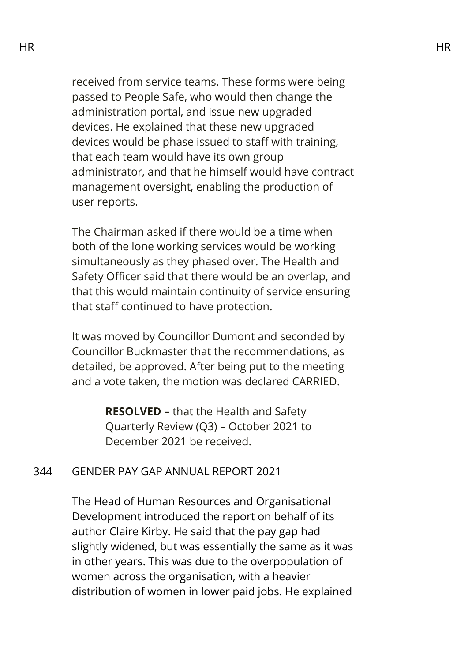received from service teams. These forms were being passed to People Safe, who would then change the administration portal, and issue new upgraded devices. He explained that these new upgraded devices would be phase issued to staff with training, that each team would have its own group administrator, and that he himself would have contract management oversight, enabling the production of user reports.

The Chairman asked if there would be a time when both of the lone working services would be working simultaneously as they phased over. The Health and Safety Officer said that there would be an overlap, and that this would maintain continuity of service ensuring that staff continued to have protection.

It was moved by Councillor Dumont and seconded by Councillor Buckmaster that the recommendations, as detailed, be approved. After being put to the meeting and a vote taken, the motion was declared CARRIED.

> **RESOLVED –** that the Health and Safety Quarterly Review (Q3) – October 2021 to December 2021 be received.

#### 344 GENDER PAY GAP ANNUAL REPORT 2021

The Head of Human Resources and Organisational Development introduced the report on behalf of its author Claire Kirby. He said that the pay gap had slightly widened, but was essentially the same as it was in other years. This was due to the overpopulation of women across the organisation, with a heavier distribution of women in lower paid jobs. He explained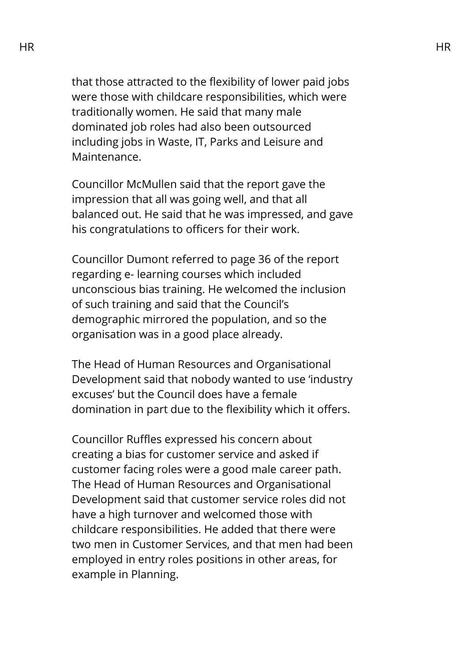that those attracted to the flexibility of lower paid jobs were those with childcare responsibilities, which were traditionally women. He said that many male dominated job roles had also been outsourced including jobs in Waste, IT, Parks and Leisure and Maintenance.

Councillor McMullen said that the report gave the impression that all was going well, and that all balanced out. He said that he was impressed, and gave his congratulations to officers for their work.

Councillor Dumont referred to page 36 of the report regarding e- learning courses which included unconscious bias training. He welcomed the inclusion of such training and said that the Council's demographic mirrored the population, and so the organisation was in a good place already.

The Head of Human Resources and Organisational Development said that nobody wanted to use 'industry excuses' but the Council does have a female domination in part due to the flexibility which it offers.

Councillor Ruffles expressed his concern about creating a bias for customer service and asked if customer facing roles were a good male career path. The Head of Human Resources and Organisational Development said that customer service roles did not have a high turnover and welcomed those with childcare responsibilities. He added that there were two men in Customer Services, and that men had been employed in entry roles positions in other areas, for example in Planning.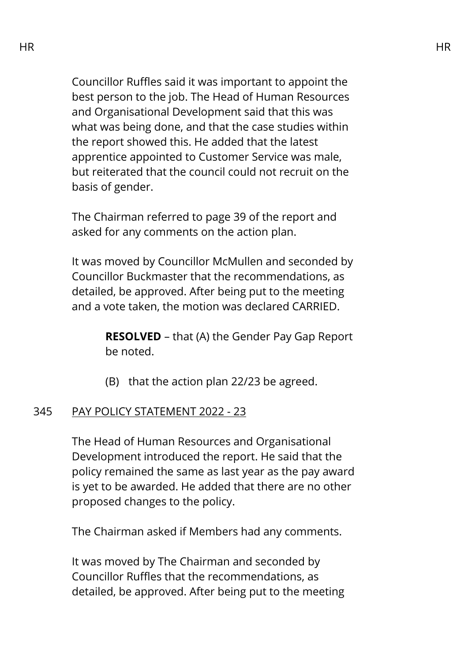Councillor Ruffles said it was important to appoint the best person to the job. The Head of Human Resources and Organisational Development said that this was what was being done, and that the case studies within the report showed this. He added that the latest apprentice appointed to Customer Service was male, but reiterated that the council could not recruit on the basis of gender.

The Chairman referred to page 39 of the report and asked for any comments on the action plan.

It was moved by Councillor McMullen and seconded by Councillor Buckmaster that the recommendations, as detailed, be approved. After being put to the meeting and a vote taken, the motion was declared CARRIED.

> **RESOLVED** – that (A) the Gender Pay Gap Report be noted.

(B) that the action plan 22/23 be agreed.

### 345 PAY POLICY STATEMENT 2022 - 23

The Head of Human Resources and Organisational Development introduced the report. He said that the policy remained the same as last year as the pay award is yet to be awarded. He added that there are no other proposed changes to the policy.

The Chairman asked if Members had any comments.

It was moved by The Chairman and seconded by Councillor Ruffles that the recommendations, as detailed, be approved. After being put to the meeting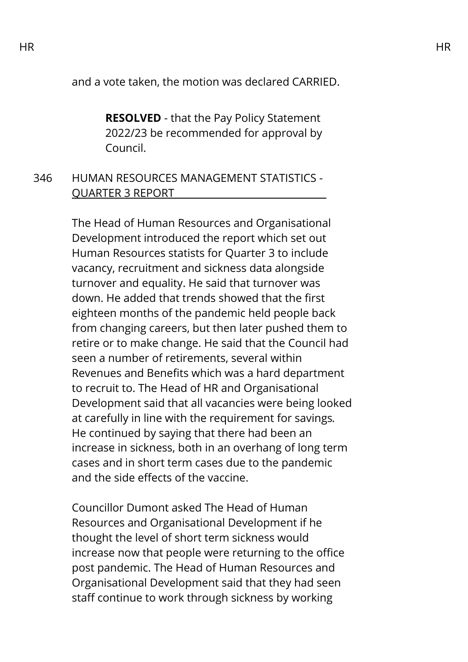and a vote taken, the motion was declared CARRIED.

**RESOLVED** - that the Pay Policy Statement 2022/23 be recommended for approval by Council.

### 346 HUMAN RESOURCES MANAGEMENT STATISTICS - QUARTER 3 REPORT

The Head of Human Resources and Organisational Development introduced the report which set out Human Resources statists for Quarter 3 to include vacancy, recruitment and sickness data alongside turnover and equality. He said that turnover was down. He added that trends showed that the first eighteen months of the pandemic held people back from changing careers, but then later pushed them to retire or to make change. He said that the Council had seen a number of retirements, several within Revenues and Benefits which was a hard department to recruit to. The Head of HR and Organisational Development said that all vacancies were being looked at carefully in line with the requirement for savings*.*  He continued by saying that there had been an increase in sickness, both in an overhang of long term cases and in short term cases due to the pandemic and the side effects of the vaccine.

Councillor Dumont asked The Head of Human Resources and Organisational Development if he thought the level of short term sickness would increase now that people were returning to the office post pandemic. The Head of Human Resources and Organisational Development said that they had seen staff continue to work through sickness by working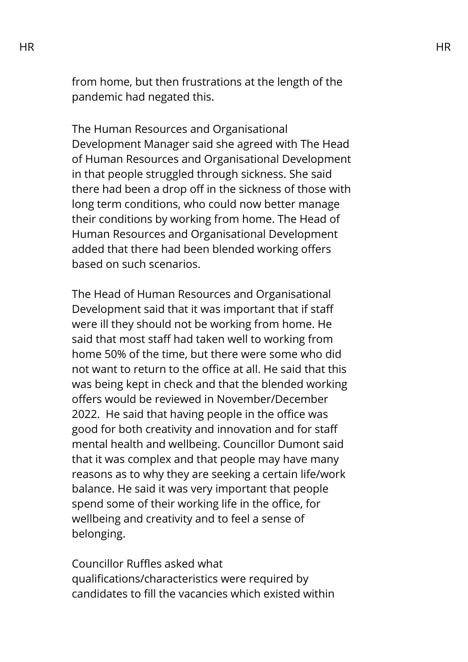from home, but then frustrations at the length of the pandemic had negated this.

The Human Resources and Organisational Development Manager said she agreed with The Head of Human Resources and Organisational Development in that people struggled through sickness. She said there had been a drop off in the sickness of those with long term conditions, who could now better manage their conditions by working from home. The Head of Human Resources and Organisational Development added that there had been blended working offers based on such scenarios.

The Head of Human Resources and Organisational Development said that it was important that if staff were ill they should not be working from home. He said that most staff had taken well to working from home 50% of the time, but there were some who did not want to return to the office at all. He said that this was being kept in check and that the blended working offers would be reviewed in November/December 2022. He said that having people in the office was good for both creativity and innovation and for staff mental health and wellbeing. Councillor Dumont said that it was complex and that people may have many reasons as to why they are seeking a certain life/work balance. He said it was very important that people spend some of their working life in the office, for wellbeing and creativity and to feel a sense of belonging.

Councillor Ruffles asked what qualifications/characteristics were required by candidates to fill the vacancies which existed within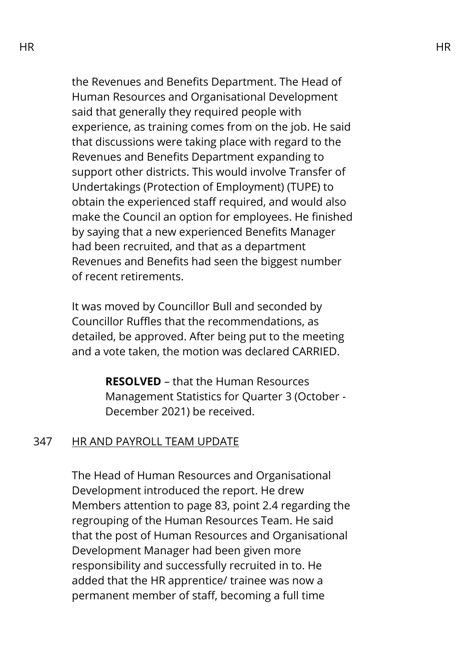the Revenues and Benefits Department. The Head of Human Resources and Organisational Development said that generally they required people with experience, as training comes from on the job. He said that discussions were taking place with regard to the Revenues and Benefits Department expanding to support other districts. This would involve Transfer of Undertakings (Protection of Employment) (TUPE) to obtain the experienced staff required, and would also make the Council an option for employees. He finished by saying that a new experienced Benefits Manager had been recruited, and that as a department Revenues and Benefits had seen the biggest number of recent retirements.

It was moved by Councillor Bull and seconded by Councillor Ruffles that the recommendations, as detailed, be approved. After being put to the meeting and a vote taken, the motion was declared CARRIED.

> **RESOLVED** – that the Human Resources Management Statistics for Quarter 3 (October - December 2021) be received.

### 347 HR AND PAYROLL TEAM UPDATE

The Head of Human Resources and Organisational Development introduced the report. He drew Members attention to page 83, point 2.4 regarding the regrouping of the Human Resources Team. He said that the post of Human Resources and Organisational Development Manager had been given more responsibility and successfully recruited in to. He added that the HR apprentice/ trainee was now a permanent member of staff, becoming a full time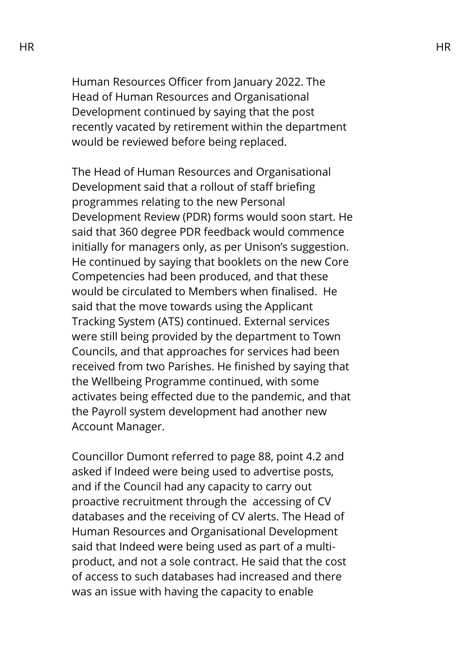Human Resources Officer from January 2022. The Head of Human Resources and Organisational Development continued by saying that the post recently vacated by retirement within the department would be reviewed before being replaced.

The Head of Human Resources and Organisational Development said that a rollout of staff briefing programmes relating to the new Personal Development Review (PDR) forms would soon start. He said that 360 degree PDR feedback would commence initially for managers only, as per Unison's suggestion. He continued by saying that booklets on the new Core Competencies had been produced, and that these would be circulated to Members when finalised. He said that the move towards using the Applicant Tracking System (ATS) continued. External services were still being provided by the department to Town Councils, and that approaches for services had been received from two Parishes. He finished by saying that the Wellbeing Programme continued, with some activates being effected due to the pandemic, and that the Payroll system development had another new Account Manager.

Councillor Dumont referred to page 88, point 4.2 and asked if Indeed were being used to advertise posts, and if the Council had any capacity to carry out proactive recruitment through the accessing of CV databases and the receiving of CV alerts. The Head of Human Resources and Organisational Development said that Indeed were being used as part of a multiproduct, and not a sole contract. He said that the cost of access to such databases had increased and there was an issue with having the capacity to enable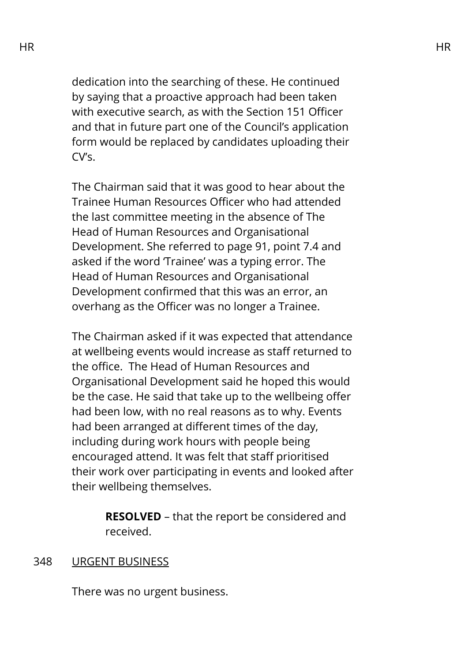dedication into the searching of these. He continued by saying that a proactive approach had been taken with executive search, as with the Section 151 Officer and that in future part one of the Council's application form would be replaced by candidates uploading their CV's.

The Chairman said that it was good to hear about the Trainee Human Resources Officer who had attended the last committee meeting in the absence of The Head of Human Resources and Organisational Development. She referred to page 91, point 7.4 and asked if the word 'Trainee' was a typing error. The Head of Human Resources and Organisational Development confirmed that this was an error, an overhang as the Officer was no longer a Trainee.

The Chairman asked if it was expected that attendance at wellbeing events would increase as staff returned to the office. The Head of Human Resources and Organisational Development said he hoped this would be the case. He said that take up to the wellbeing offer had been low, with no real reasons as to why. Events had been arranged at different times of the day, including during work hours with people being encouraged attend. It was felt that staff prioritised their work over participating in events and looked after their wellbeing themselves.

> **RESOLVED** – that the report be considered and received.

#### 348 URGENT BUSINESS

There was no urgent business.